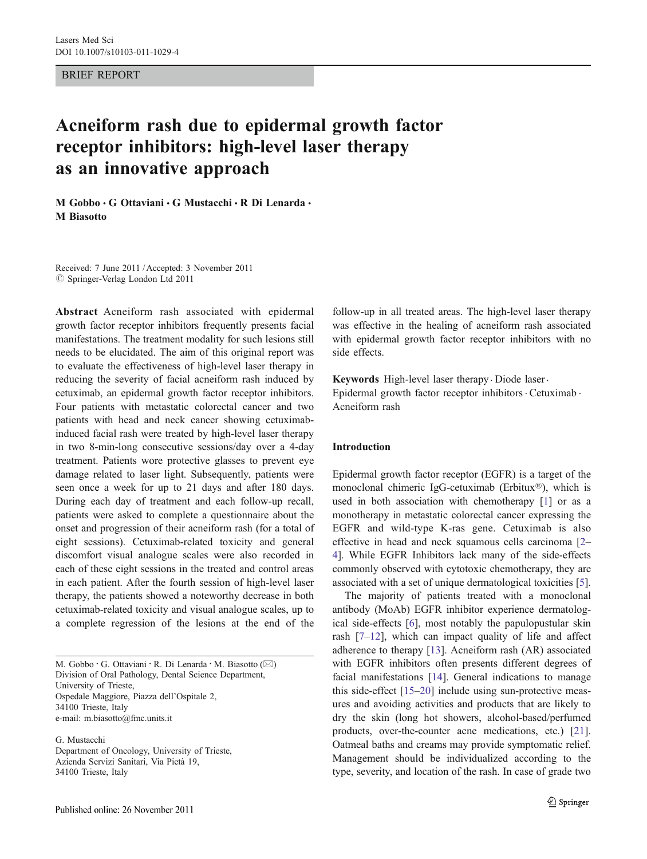BRIEF REPORT

# Acneiform rash due to epidermal growth factor receptor inhibitors: high-level laser therapy as an innovative approach

M Gobbo · G Ottaviani · G Mustacchi · R Di Lenarda · M Biasotto

Received: 7 June 2011 /Accepted: 3 November 2011  $\oslash$  Springer-Verlag London Ltd 2011

Abstract Acneiform rash associated with epidermal growth factor receptor inhibitors frequently presents facial manifestations. The treatment modality for such lesions still needs to be elucidated. The aim of this original report was to evaluate the effectiveness of high-level laser therapy in reducing the severity of facial acneiform rash induced by cetuximab, an epidermal growth factor receptor inhibitors. Four patients with metastatic colorectal cancer and two patients with head and neck cancer showing cetuximabinduced facial rash were treated by high-level laser therapy in two 8-min-long consecutive sessions/day over a 4-day treatment. Patients wore protective glasses to prevent eye damage related to laser light. Subsequently, patients were seen once a week for up to 21 days and after 180 days. During each day of treatment and each follow-up recall, patients were asked to complete a questionnaire about the onset and progression of their acneiform rash (for a total of eight sessions). Cetuximab-related toxicity and general discomfort visual analogue scales were also recorded in each of these eight sessions in the treated and control areas in each patient. After the fourth session of high-level laser therapy, the patients showed a noteworthy decrease in both cetuximab-related toxicity and visual analogue scales, up to a complete regression of the lesions at the end of the

M. Gobbo · G. Ottaviani · R. Di Lenarda · M. Biasotto (⊠) Division of Oral Pathology, Dental Science Department, University of Trieste, Ospedale Maggiore, Piazza dell'Ospitale 2, 34100 Trieste, Italy e-mail: m.biasotto@fmc.units.it

G. Mustacchi Department of Oncology, University of Trieste, Azienda Servizi Sanitari, Via Pietà 19, 34100 Trieste, Italy

follow-up in all treated areas. The high-level laser therapy was effective in the healing of acneiform rash associated with epidermal growth factor receptor inhibitors with no side effects.

Keywords High-level laser therapy. Diode laser. Epidermal growth factor receptor inhibitors  $\cdot$  Cetuximab  $\cdot$ Acneiform rash

#### Introduction

Epidermal growth factor receptor (EGFR) is a target of the monoclonal chimeric IgG-cetuximab (Erbitux®), which is used in both association with chemotherapy [\[1](#page-4-0)] or as a monotherapy in metastatic colorectal cancer expressing the EGFR and wild-type K-ras gene. Cetuximab is also effective in head and neck squamous cells carcinoma [\[2](#page-4-0)– [4](#page-4-0)]. While EGFR Inhibitors lack many of the side-effects commonly observed with cytotoxic chemotherapy, they are associated with a set of unique dermatological toxicities [[5\]](#page-4-0).

The majority of patients treated with a monoclonal antibody (MoAb) EGFR inhibitor experience dermatological side-effects [[6\]](#page-4-0), most notably the papulopustular skin rash [[7](#page-4-0)–[12\]](#page-4-0), which can impact quality of life and affect adherence to therapy [\[13](#page-4-0)]. Acneiform rash (AR) associated with EGFR inhibitors often presents different degrees of facial manifestations [[14\]](#page-4-0). General indications to manage this side-effect [[15](#page-4-0)–[20\]](#page-4-0) include using sun-protective measures and avoiding activities and products that are likely to dry the skin (long hot showers, alcohol-based/perfumed products, over-the-counter acne medications, etc.) [[21\]](#page-4-0). Oatmeal baths and creams may provide symptomatic relief. Management should be individualized according to the type, severity, and location of the rash. In case of grade two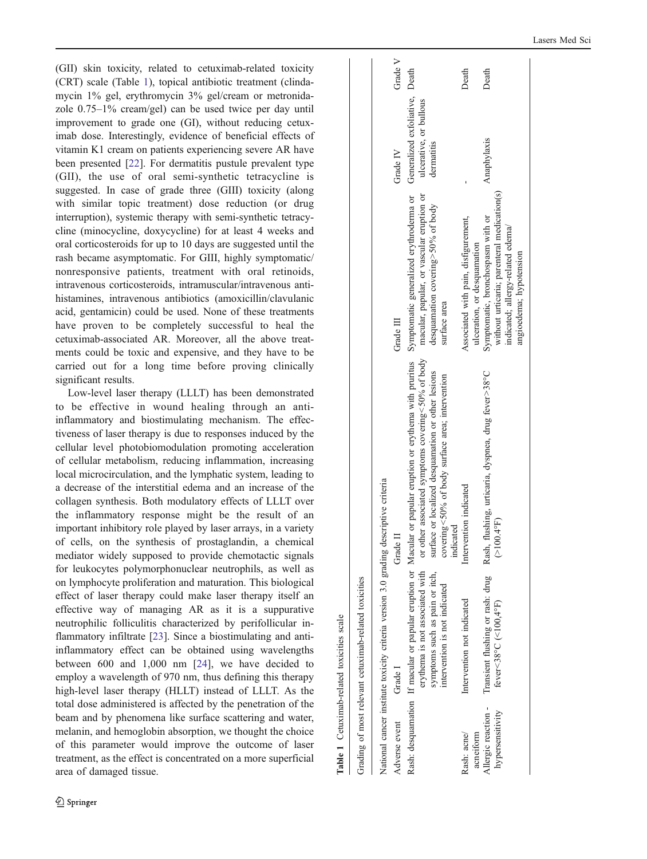<span id="page-1-0"></span>(GII) skin toxicity, related to cetuximab-related toxicity (CRT) scale (Table 1), topical antibiotic treatment (clindamycin 1% gel, erythromycin 3% gel/cream or metronidazole 0.75–1% cream/gel) can be used twice per day until improvement to grade one (GI), without reducing cetuximab dose. Interestingly, evidence of beneficial effects of vitamin K1 cream on patients experiencing severe AR have been presented [[22\]](#page-5-0). For dermatitis pustule prevalent type (GII), the use of oral semi-synthetic tetracycline is suggested. In case of grade three (GIII) toxicity (along with similar topic treatment) dose reduction (or drug interruption), systemic therapy with semi-synthetic tetracycline (minocycline, doxycycline) for at least 4 weeks and oral corticosteroids for up to 10 days are suggested until the rash became asymptomatic. For GIII, highly symptomatic/ nonresponsive patients, treatment with oral retinoids, intravenous corticosteroids, intramuscular/intravenous antihistamines, intravenous antibiotics (amoxicillin/clavulanic acid, gentamicin) could be used. None of these treatments have proven to be completely successful to heal the cetuximab-associated AR. Moreover, all the above treatments could be toxic and expensive, and they have to be carried out for a long time before proving clinically significant results.

Low-level laser therapy (LLLT) has been demonstrated to be effective in wound healing through an antiinflammatory and biostimulating mechanism. The effectiveness of laser therapy is due to responses induced by the cellular level photobiomodulation promoting acceleration of cellular metabolism, reducing inflammation, increasing local microcirculation, and the lymphatic system, leading to a decrease of the interstitial edema and an increase of the collagen synthesis. Both modulatory effects of LLLT over the inflammatory response might be the result of an important inhibitory role played by laser arrays, in a variety of cells, on the synthesis of prostaglandin, a chemical mediator widely supposed to provide chemotactic signals for leukocytes polymorphonuclear neutrophils, as well as on lymphocyte proliferation and maturation. This biological effect of laser therapy could make laser therapy itself an effective way of managing AR as it is a suppurative neutrophilic folliculitis characterized by perifollicular inflammatory infiltrate [[23\]](#page-5-0). Since a biostimulating and antiinflammatory effect can be obtained using wavelengths between 600 and 1,000 nm [\[24](#page-5-0)], we have decided to employ a wavelength of 970 nm, thus defining this therapy high-level laser therapy (HLLT) instead of LLLT. As the total dose administered is affected by the penetration of the beam and by phenomena like surface scattering and water, melanin, and hemoglobin absorption, we thought the choice of this parameter would improve the outcome of laser treatment, as the effect is concentrated on a more superficial area of damaged tissue.

| erythema is not associated with<br>symptoms such as pain or itch,<br>intervention is not indicated | or other associated symptoms covering $<$ 50% of body<br>surface or localized desquamation or other lesions<br>covering <50% of body surface area; intervention<br>indicated | macular, papular, or vascular eruption or<br>desquamation covering > $50\%$ of body<br>surface area                                              | ulcerative, or bullous<br>dermatitis |                |
|----------------------------------------------------------------------------------------------------|------------------------------------------------------------------------------------------------------------------------------------------------------------------------------|--------------------------------------------------------------------------------------------------------------------------------------------------|--------------------------------------|----------------|
| Intervention not indicated                                                                         | Intervention indicated                                                                                                                                                       | Associated with pain, disfigurement,<br>ulceration, or desquamation                                                                              |                                      | Death          |
| fever<38°C (<100,4°F)                                                                              | Transient flushing or rash: drug Rash, flushing, urticaria, dyspnea, drug fever>38°C<br>(>100.4°F)                                                                           | without urticaria; parenteral medication(s)<br>Symptomatic, bronchospasm with or<br>indicated; allergy-related edema/<br>angioedema; hypotension | Anaphylaxis                          | Death          |
|                                                                                                    |                                                                                                                                                                              |                                                                                                                                                  |                                      | Lasers Med Sci |

Table 1 Cetuximab-related toxicities scale Table 1 Cetuximab-related toxicities scale

Grading of most relevant cetuximab-related toxicities Grading of most relevant cetuximab-related toxicities

National cancer institute toxicity criteria version 3.0 grading descriptive criteria

National cancer institute toxicity criteria version 3.0 grading descriptive criteria

Rash: desquamation If macular or papular eruption or

Rash: desquamation

Grade I

Adverse event

Rash: acne/ acneiform

Rash: acne acneiform Allergic reaction hypersensitivity

Allergic reaction hypersensitivity

Adverse event Grade I Grade I Grade I Grade II Grade II Grade II Grade II Grade IV Grade IV Grade IV Grade IV Grade V

Grade III

Macular or papular eruption or erythema with pruritus

If macular or papular eruption or Macular or papular eruption or erythema with pruritus

Grade II

Symptomatic generalized erythroderma or

Symptomatic generalized erythroderma or

Generalized exfoliative,

Generalized exfoliative,

Death

Grade V

Grade IV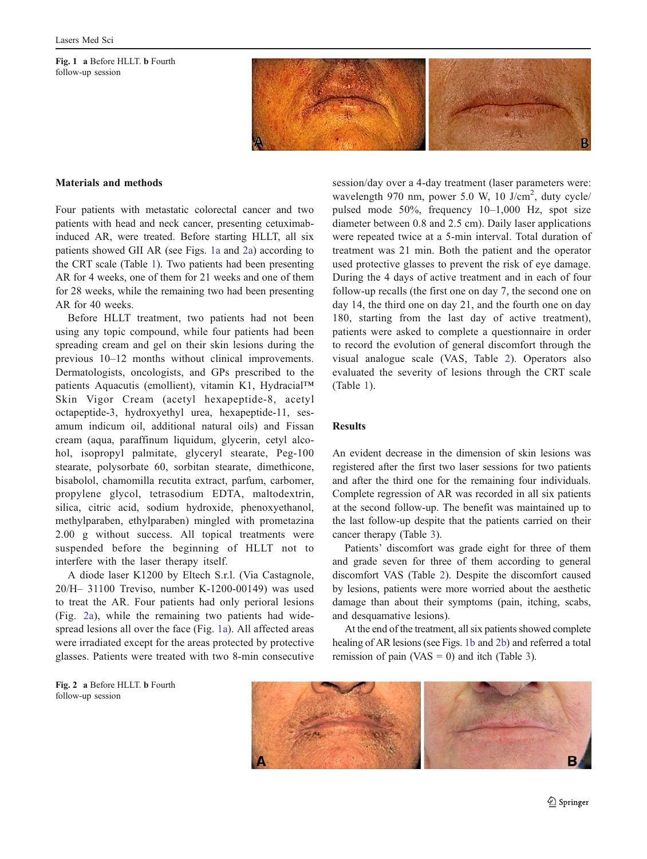Fig. 1 a Before HLLT. b Fourth follow-up session



### Materials and methods

Four patients with metastatic colorectal cancer and two patients with head and neck cancer, presenting cetuximabinduced AR, were treated. Before starting HLLT, all six patients showed GII AR (see Figs. 1a and 2a) according to the CRT scale (Table [1](#page-1-0)). Two patients had been presenting AR for 4 weeks, one of them for 21 weeks and one of them for 28 weeks, while the remaining two had been presenting AR for 40 weeks.

Before HLLT treatment, two patients had not been using any topic compound, while four patients had been spreading cream and gel on their skin lesions during the previous 10–12 months without clinical improvements. Dermatologists, oncologists, and GPs prescribed to the patients Aquacutis (emollient), vitamin K1, Hydracial™ Skin Vigor Cream (acetyl hexapeptide-8, acetyl octapeptide-3, hydroxyethyl urea, hexapeptide-11, sesamum indicum oil, additional natural oils) and Fissan cream (aqua, paraffinum liquidum, glycerin, cetyl alcohol, isopropyl palmitate, glyceryl stearate, Peg-100 stearate, polysorbate 60, sorbitan stearate, dimethicone, bisabolol, chamomilla recutita extract, parfum, carbomer, propylene glycol, tetrasodium EDTA, maltodextrin, silica, citric acid, sodium hydroxide, phenoxyethanol, methylparaben, ethylparaben) mingled with prometazina 2.00 g without success. All topical treatments were suspended before the beginning of HLLT not to interfere with the laser therapy itself.

A diode laser K1200 by Eltech S.r.l. (Via Castagnole, 20/H– 31100 Treviso, number K-1200-00149) was used to treat the AR. Four patients had only perioral lesions (Fig. 2a), while the remaining two patients had widespread lesions all over the face (Fig. 1a). All affected areas were irradiated except for the areas protected by protective glasses. Patients were treated with two 8-min consecutive session/day over a 4-day treatment (laser parameters were: wavelength 970 nm, power 5.0 W, 10 J/cm<sup>2</sup>, duty cycle/ pulsed mode 50%, frequency 10–1,000 Hz, spot size diameter between 0.8 and 2.5 cm). Daily laser applications were repeated twice at a 5-min interval. Total duration of treatment was 21 min. Both the patient and the operator used protective glasses to prevent the risk of eye damage. During the 4 days of active treatment and in each of four follow-up recalls (the first one on day 7, the second one on day 14, the third one on day 21, and the fourth one on day 180, starting from the last day of active treatment), patients were asked to complete a questionnaire in order to record the evolution of general discomfort through the visual analogue scale (VAS, Table [2](#page-3-0)). Operators also evaluated the severity of lesions through the CRT scale (Table [1](#page-1-0)).

# Results

An evident decrease in the dimension of skin lesions was registered after the first two laser sessions for two patients and after the third one for the remaining four individuals. Complete regression of AR was recorded in all six patients at the second follow-up. The benefit was maintained up to the last follow-up despite that the patients carried on their cancer therapy (Table [3](#page-3-0)).

Patients' discomfort was grade eight for three of them and grade seven for three of them according to general discomfort VAS (Table [2](#page-3-0)). Despite the discomfort caused by lesions, patients were more worried about the aesthetic damage than about their symptoms (pain, itching, scabs, and desquamative lesions).

At the end of the treatment, all six patients showed complete healing of AR lesions (see Figs. 1b and 2b) and referred a total remission of pain (VAS = 0) and itch (Table [3\)](#page-3-0).

Fig. 2 a Before HLLT. b Fourth follow-up session

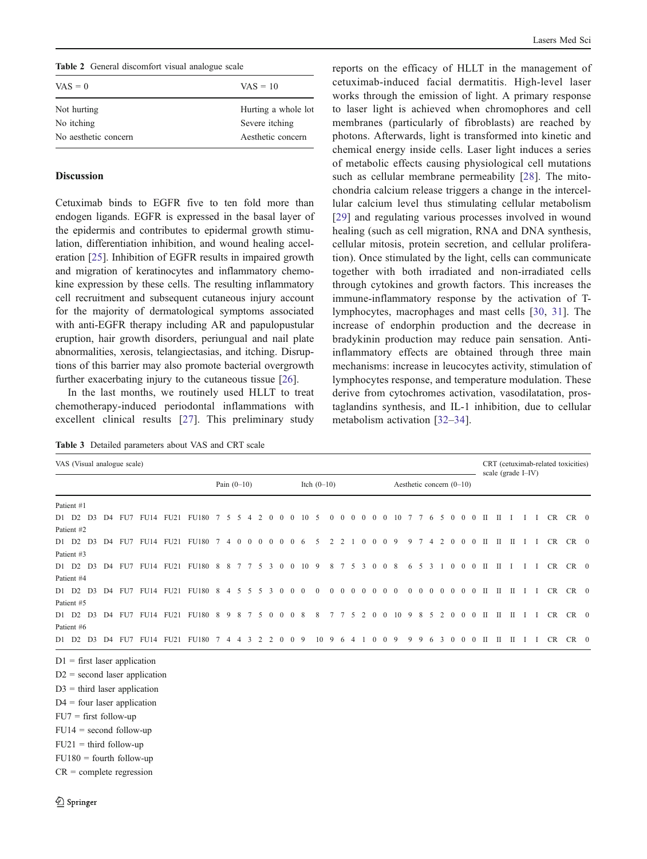<span id="page-3-0"></span>

| Table 2 General discomfort visual analogue scale |  |  |
|--------------------------------------------------|--|--|
|--------------------------------------------------|--|--|

| $VAS = 0$            | $VAS = 10$            |
|----------------------|-----------------------|
| Not hurting          | Hurting a whole lot   |
| No itching           | Severe <i>itching</i> |
| No aesthetic concern | Aesthetic concern     |

## **Discussion**

Cetuximab binds to EGFR five to ten fold more than endogen ligands. EGFR is expressed in the basal layer of the epidermis and contributes to epidermal growth stimulation, differentiation inhibition, and wound healing acceleration [\[25](#page-5-0)]. Inhibition of EGFR results in impaired growth and migration of keratinocytes and inflammatory chemokine expression by these cells. The resulting inflammatory cell recruitment and subsequent cutaneous injury account for the majority of dermatological symptoms associated with anti-EGFR therapy including AR and papulopustular eruption, hair growth disorders, periungual and nail plate abnormalities, xerosis, telangiectasias, and itching. Disruptions of this barrier may also promote bacterial overgrowth further exacerbating injury to the cutaneous tissue [[26\]](#page-5-0).

In the last months, we routinely used HLLT to treat chemotherapy-induced periodontal inflammations with excellent clinical results [\[27](#page-5-0)]. This preliminary study

| Table 3 Detailed parameters about VAS and CRT scale |  |
|-----------------------------------------------------|--|
|-----------------------------------------------------|--|

reports on the efficacy of HLLT in the management of cetuximab-induced facial dermatitis. High-level laser works through the emission of light. A primary response to laser light is achieved when chromophores and cell membranes (particularly of fibroblasts) are reached by photons. Afterwards, light is transformed into kinetic and chemical energy inside cells. Laser light induces a series of metabolic effects causing physiological cell mutations such as cellular membrane permeability [[28](#page-5-0)]. The mitochondria calcium release triggers a change in the intercellular calcium level thus stimulating cellular metabolism [\[29\]](#page-5-0) and regulating various processes involved in wound healing (such as cell migration, RNA and DNA synthesis, cellular mitosis, protein secretion, and cellular proliferation). Once stimulated by the light, cells can communicate together with both irradiated and non-irradiated cells through cytokines and growth factors. This increases the immune-inflammatory response by the activation of Tlymphocytes, macrophages and mast cells [[30](#page-5-0), [31](#page-5-0)]. The increase of endorphin production and the decrease in bradykinin production may reduce pain sensation. Antiinflammatory effects are obtained through three main mechanisms: increase in leucocytes activity, stimulation of lymphocytes response, and temperature modulation. These derive from cytochromes activation, vasodilatation, prostaglandins synthesis, and IL-1 inhibition, due to cellular metabolism activation [[32](#page-5-0)–[34](#page-5-0)].

|            | VAS (Visual analogue scale) |                |                        |        |             |      |                           |               |                |   |               |               |               |                          |                  |               | CRT (cetuximab-related toxicities)<br>scale (grade I-IV) |          |             |                          |               |                |          |                            |          |          |                |                             |          |          |          |              |             |              |  |  |      |          |  |
|------------|-----------------------------|----------------|------------------------|--------|-------------|------|---------------------------|---------------|----------------|---|---------------|---------------|---------------|--------------------------|------------------|---------------|----------------------------------------------------------|----------|-------------|--------------------------|---------------|----------------|----------|----------------------------|----------|----------|----------------|-----------------------------|----------|----------|----------|--------------|-------------|--------------|--|--|------|----------|--|
|            |                             |                |                        |        |             |      |                           | Pain $(0-10)$ |                |   |               |               |               |                          |                  | Itch $(0-10)$ |                                                          |          |             |                          |               |                |          | Aesthetic concern $(0-10)$ |          |          |                |                             |          |          |          |              |             |              |  |  |      |          |  |
| Patient #1 |                             |                |                        |        |             |      |                           |               |                |   |               |               |               |                          |                  |               |                                                          |          |             |                          |               |                |          |                            |          |          |                |                             |          |          |          |              |             |              |  |  |      |          |  |
| $D1$ $D2$  |                             | D <sub>3</sub> | $\Gamma$ <sub>14</sub> | FU7    | <b>FU14</b> | FU21 | FU180                     |               | $\sim$         |   | 4             |               | $\Omega$      |                          | $\Omega$         | 10            |                                                          |          |             |                          |               |                |          | 10                         |          |          |                |                             |          |          |          |              |             |              |  |  | CR.  | $CR \t0$ |  |
| Patient #2 |                             |                |                        |        |             |      |                           |               |                |   |               |               |               |                          |                  |               |                                                          |          |             |                          |               |                |          |                            |          |          |                |                             |          |          |          |              |             |              |  |  |      |          |  |
| D1 D2 D3   |                             |                |                        | D4 FU7 |             |      | FU14 FU21 FU180 7 4 0     |               |                |   |               |               |               | $0\quad 0\quad 0\quad 0$ |                  | $0\quad 6$    | $\sqrt{5}$                                               |          | $2 \t2 \t1$ |                          | $\Omega$      | $\overline{0}$ |          | $0 \quad 9$                |          | 9 7      | $\overline{4}$ | 2                           | $\Omega$ | $\Omega$ | $\Omega$ | $\mathbf{H}$ | $_{\rm II}$ | $\mathbf{H}$ |  |  | CR — | $CR \t0$ |  |
| Patient #3 |                             |                |                        |        |             |      |                           |               |                |   |               |               |               |                          |                  |               |                                                          |          |             |                          |               |                |          |                            |          |          |                |                             |          |          |          |              |             |              |  |  |      |          |  |
| D1 D2 D3   |                             |                | D <sub>4</sub>         | FU7    | <b>FU14</b> | FU21 | FU180                     | 8             | 8              |   |               |               | 3             | $\Omega$                 | $\Omega$         | 10            | 9                                                        | 8        |             | 5                        | 3             |                | $\Omega$ | 8                          | 6        | 5        | 3              |                             |          |          |          |              |             |              |  |  | CR   | $CR \t0$ |  |
| Patient #4 |                             |                |                        |        |             |      |                           |               |                |   |               |               |               |                          |                  |               |                                                          |          |             |                          |               |                |          |                            |          |          |                |                             |          |          |          |              |             |              |  |  |      |          |  |
| D1 D2 D3   |                             |                |                        | D4 FU7 |             |      | FU14 FU21 FU180 8 4 5 5 5 |               |                |   |               |               | $\mathcal{R}$ | $\Omega$                 | $0 \quad 0$      |               | $\Omega$                                                 | $\Omega$ | $\Omega$    | $\Omega$                 | $\Omega$      | $\Omega$       | $\Omega$ | $\Omega$                   | $\Omega$ | $\Omega$ | $\Omega$       | $\Omega$                    | $\Omega$ | $\Omega$ | $\Omega$ | П            | $_{\rm II}$ |              |  |  | CR   | $CR \t0$ |  |
| Patient #5 |                             |                |                        |        |             |      |                           |               |                |   |               |               |               |                          |                  |               |                                                          |          |             |                          |               |                |          |                            |          |          |                |                             |          |          |          |              |             |              |  |  |      |          |  |
| D1 D2 D3   |                             |                | D <sub>4</sub>         | FU7    | <b>FU14</b> |      | FU21 FU180                | -8            | 9              | 8 |               | $\mathcal{L}$ | $\Omega$      |                          | $\Omega$         | 8             | 8                                                        |          |             | $\overline{\phantom{1}}$ | $\mathcal{L}$ | $\theta$       | $\Omega$ | 10                         | 9        | 8        |                | $\mathcal{D}_{\mathcal{A}}$ | $\theta$ |          |          |              |             |              |  |  | CR   | $CR \t0$ |  |
| Patient #6 |                             |                |                        |        |             |      |                           |               |                |   |               |               |               |                          |                  |               |                                                          |          |             |                          |               |                |          |                            |          |          |                |                             |          |          |          |              |             |              |  |  |      |          |  |
| D1 D2 D3   |                             |                |                        | D4 FU7 |             |      | FU14 FU21 FU180 7         |               | $\overline{4}$ | 4 | $\mathcal{R}$ | $\mathcal{L}$ | $\mathcal{L}$ | $\Omega$                 | $0 \overline{9}$ |               | 10                                                       | -9       | 6           |                          |               |                | $\Omega$ | -9                         |          | 99       | 6              | $\mathcal{F}$               |          | $\Omega$ |          |              |             |              |  |  | CR.  | $CR \t0$ |  |

- $D1$  = first laser application
- $D2$  = second laser application
- $D3$  = third laser application
- $D4$  = four laser application
- FU7 = first follow-up
- $FU14 = second follow-up$
- $FU21 = third$  follow-up
- FU180 = fourth follow-up

 $CR =$  complete regression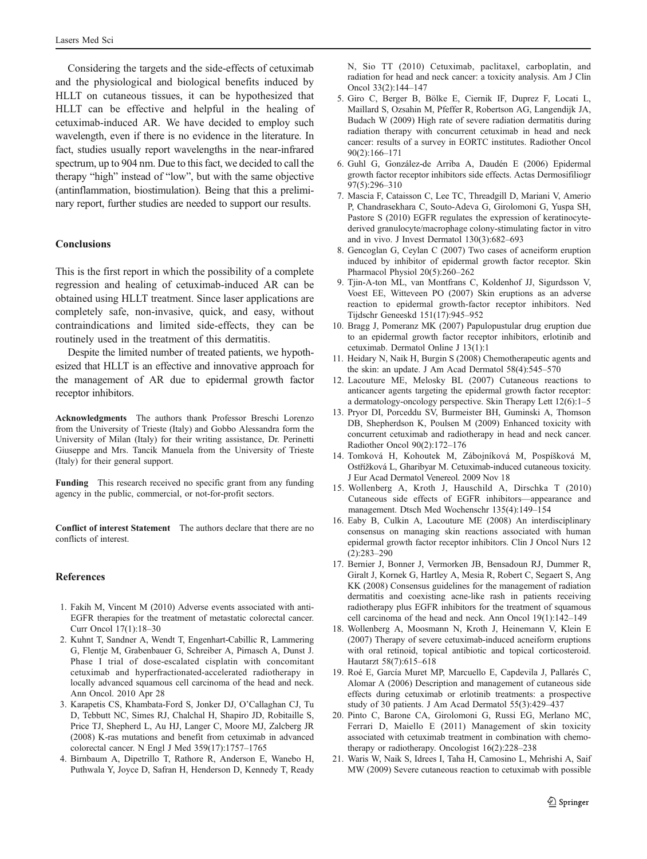<span id="page-4-0"></span>Considering the targets and the side-effects of cetuximab and the physiological and biological benefits induced by HLLT on cutaneous tissues, it can be hypothesized that HLLT can be effective and helpful in the healing of cetuximab-induced AR. We have decided to employ such wavelength, even if there is no evidence in the literature. In fact, studies usually report wavelengths in the near-infrared spectrum, up to 904 nm. Due to this fact, we decided to call the therapy "high" instead of "low", but with the same objective (antinflammation, biostimulation). Being that this a preliminary report, further studies are needed to support our results.

#### Conclusions

This is the first report in which the possibility of a complete regression and healing of cetuximab-induced AR can be obtained using HLLT treatment. Since laser applications are completely safe, non-invasive, quick, and easy, without contraindications and limited side-effects, they can be routinely used in the treatment of this dermatitis.

Despite the limited number of treated patients, we hypothesized that HLLT is an effective and innovative approach for the management of AR due to epidermal growth factor receptor inhibitors.

Acknowledgments The authors thank Professor Breschi Lorenzo from the University of Trieste (Italy) and Gobbo Alessandra form the University of Milan (Italy) for their writing assistance, Dr. Perinetti Giuseppe and Mrs. Tancik Manuela from the University of Trieste (Italy) for their general support.

Funding This research received no specific grant from any funding agency in the public, commercial, or not-for-profit sectors.

Conflict of interest Statement The authors declare that there are no conflicts of interest.

#### References

- 1. Fakih M, Vincent M (2010) Adverse events associated with anti-EGFR therapies for the treatment of metastatic colorectal cancer. Curr Oncol 17(1):18–30
- 2. Kuhnt T, Sandner A, Wendt T, Engenhart-Cabillic R, Lammering G, Flentje M, Grabenbauer G, Schreiber A, Pirnasch A, Dunst J. Phase I trial of dose-escalated cisplatin with concomitant cetuximab and hyperfractionated-accelerated radiotherapy in locally advanced squamous cell carcinoma of the head and neck. Ann Oncol. 2010 Apr 28
- 3. Karapetis CS, Khambata-Ford S, Jonker DJ, O'Callaghan CJ, Tu D, Tebbutt NC, Simes RJ, Chalchal H, Shapiro JD, Robitaille S, Price TJ, Shepherd L, Au HJ, Langer C, Moore MJ, Zalcberg JR (2008) K-ras mutations and benefit from cetuximab in advanced colorectal cancer. N Engl J Med 359(17):1757–1765
- 4. Birnbaum A, Dipetrillo T, Rathore R, Anderson E, Wanebo H, Puthwala Y, Joyce D, Safran H, Henderson D, Kennedy T, Ready

N, Sio TT (2010) Cetuximab, paclitaxel, carboplatin, and radiation for head and neck cancer: a toxicity analysis. Am J Clin Oncol 33(2):144–147

- 5. Giro C, Berger B, Bölke E, Ciernik IF, Duprez F, Locati L, Maillard S, Ozsahin M, Pfeffer R, Robertson AG, Langendijk JA, Budach W (2009) High rate of severe radiation dermatitis during radiation therapy with concurrent cetuximab in head and neck cancer: results of a survey in EORTC institutes. Radiother Oncol 90(2):166–171
- 6. Guhl G, González-de Arriba A, Daudén E (2006) Epidermal growth factor receptor inhibitors side effects. Actas Dermosifiliogr 97(5):296–310
- 7. Mascia F, Cataisson C, Lee TC, Threadgill D, Mariani V, Amerio P, Chandrasekhara C, Souto-Adeva G, Girolomoni G, Yuspa SH, Pastore S (2010) EGFR regulates the expression of keratinocytederived granulocyte/macrophage colony-stimulating factor in vitro and in vivo. J Invest Dermatol 130(3):682–693
- 8. Gencoglan G, Ceylan C (2007) Two cases of acneiform eruption induced by inhibitor of epidermal growth factor receptor. Skin Pharmacol Physiol 20(5):260–262
- 9. Tjin-A-ton ML, van Montfrans C, Koldenhof JJ, Sigurdsson V, Voest EE, Witteveen PO (2007) Skin eruptions as an adverse reaction to epidermal growth-factor receptor inhibitors. Ned Tijdschr Geneeskd 151(17):945–952
- 10. Bragg J, Pomeranz MK (2007) Papulopustular drug eruption due to an epidermal growth factor receptor inhibitors, erlotinib and cetuximab. Dermatol Online J 13(1):1
- 11. Heidary N, Naik H, Burgin S (2008) Chemotherapeutic agents and the skin: an update. J Am Acad Dermatol 58(4):545–570
- 12. Lacouture ME, Melosky BL (2007) Cutaneous reactions to anticancer agents targeting the epidermal growth factor receptor: a dermatology-oncology perspective. Skin Therapy Lett 12(6):1–5
- 13. Pryor DI, Porceddu SV, Burmeister BH, Guminski A, Thomson DB, Shepherdson K, Poulsen M (2009) Enhanced toxicity with concurrent cetuximab and radiotherapy in head and neck cancer. Radiother Oncol 90(2):172–176
- 14. Tomková H, Kohoutek M, Zábojníková M, Pospíšková M, Ostřížková L, Gharibyar M. Cetuximab-induced cutaneous toxicity. J Eur Acad Dermatol Venereol. 2009 Nov 18
- 15. Wollenberg A, Kroth J, Hauschild A, Dirschka T (2010) Cutaneous side effects of EGFR inhibitors—appearance and management. Dtsch Med Wochenschr 135(4):149–154
- 16. Eaby B, Culkin A, Lacouture ME (2008) An interdisciplinary consensus on managing skin reactions associated with human epidermal growth factor receptor inhibitors. Clin J Oncol Nurs 12 (2):283–290
- 17. Bernier J, Bonner J, Vermorken JB, Bensadoun RJ, Dummer R, Giralt J, Kornek G, Hartley A, Mesia R, Robert C, Segaert S, Ang KK (2008) Consensus guidelines for the management of radiation dermatitis and coexisting acne-like rash in patients receiving radiotherapy plus EGFR inhibitors for the treatment of squamous cell carcinoma of the head and neck. Ann Oncol 19(1):142–149
- 18. Wollenberg A, Moosmann N, Kroth J, Heinemann V, Klein E (2007) Therapy of severe cetuximab-induced acneiform eruptions with oral retinoid, topical antibiotic and topical corticosteroid. Hautarzt 58(7):615–618
- 19. Roé E, García Muret MP, Marcuello E, Capdevila J, Pallarés C, Alomar A (2006) Description and management of cutaneous side effects during cetuximab or erlotinib treatments: a prospective study of 30 patients. J Am Acad Dermatol 55(3):429–437
- 20. Pinto C, Barone CA, Girolomoni G, Russi EG, Merlano MC, Ferrari D, Maiello E (2011) Management of skin toxicity associated with cetuximab treatment in combination with chemotherapy or radiotherapy. Oncologist 16(2):228–238
- 21. Waris W, Naik S, Idrees I, Taha H, Camosino L, Mehrishi A, Saif MW (2009) Severe cutaneous reaction to cetuximab with possible